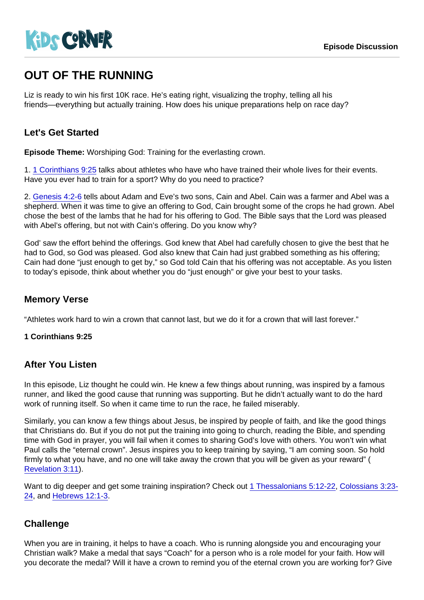# OUT OF THE RUNNING

Liz is ready to win his first 10K race. He's eating right, visualizing the trophy, telling all his friends—everything but actually training. How does his unique preparations help on race day?

## Let's Get Started

Episode Theme: Worshiping God: Training for the everlasting crown.

1. [1 Corinthians 9:25](https://www.biblegateway.com/passage/?search=1+Corinthians+9:25) talks about athletes who have who have trained their whole lives for their events. Have you ever had to train for a sport? Why do you need to practice?

2. [Genesis 4:2-6](https://www.biblegateway.com/passage/?search=Genesis+4:2-6) tells about Adam and Eve's two sons, Cain and Abel. Cain was a farmer and Abel was a shepherd. When it was time to give an offering to God, Cain brought some of the crops he had grown. Abel chose the best of the lambs that he had for his offering to God. The Bible says that the Lord was pleased with Abel's offering, but not with Cain's offering. Do you know why?

God' saw the effort behind the offerings. God knew that Abel had carefully chosen to give the best that he had to God, so God was pleased. God also knew that Cain had just grabbed something as his offering; Cain had done "just enough to get by," so God told Cain that his offering was not acceptable. As you listen to today's episode, think about whether you do "just enough" or give your best to your tasks.

### Memory Verse

"Athletes work hard to win a crown that cannot last, but we do it for a crown that will last forever."

1 Corinthians 9:25

#### After You Listen

In this episode, Liz thought he could win. He knew a few things about running, was inspired by a famous runner, and liked the good cause that running was supporting. But he didn't actually want to do the hard work of running itself. So when it came time to run the race, he failed miserably.

Similarly, you can know a few things about Jesus, be inspired by people of faith, and like the good things that Christians do. But if you do not put the training into going to church, reading the Bible, and spending time with God in prayer, you will fail when it comes to sharing God's love with others. You won't win what Paul calls the "eternal crown". Jesus inspires you to keep training by saying, "I am coming soon. So hold firmly to what you have, and no one will take away the crown that you will be given as your reward" ( [Revelation 3:11](https://www.biblegateway.com/passage/?search=Revelation+3:11)).

Want to dig deeper and get some training inspiration? Check out [1 Thessalonians 5:12-22](https://www.biblegateway.com/passage/?search=1+Thessalonians+5:12-22), [Colossians 3:23-](https://www.biblegateway.com/passage/?search=Colossians+3:23-24) [24](https://www.biblegateway.com/passage/?search=Colossians+3:23-24), and [Hebrews 12:1-3](https://www.biblegateway.com/passage/?search=Hebrews+12:1-3).

# **Challenge**

When you are in training, it helps to have a coach. Who is running alongside you and encouraging your Christian walk? Make a medal that says "Coach" for a person who is a role model for your faith. How will you decorate the medal? Will it have a crown to remind you of the eternal crown you are working for? Give